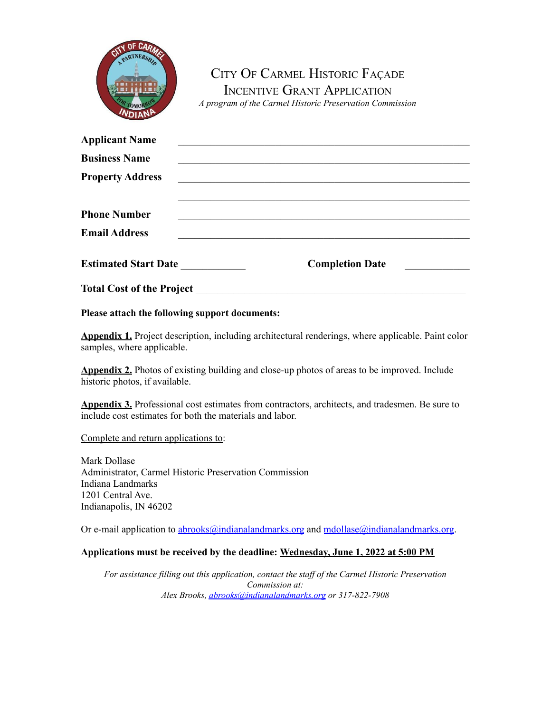

CITY OF CARMEL HISTORIC FAÇADE INCENTIVE GRANT APPLICATION *A program of the Carmel Historic Preservation Commission*

| <b>Applicant Name</b>            |                        |
|----------------------------------|------------------------|
| <b>Business Name</b>             |                        |
| <b>Property Address</b>          |                        |
|                                  |                        |
| <b>Phone Number</b>              |                        |
| <b>Email Address</b>             |                        |
|                                  |                        |
| <b>Estimated Start Date</b>      | <b>Completion Date</b> |
| <b>Total Cost of the Project</b> |                        |

**Please attach the following support documents:**

**Appendix 1.** Project description, including architectural renderings, where applicable. Paint color samples, where applicable.

**Appendix 2.** Photos of existing building and close-up photos of areas to be improved. Include historic photos, if available.

**Appendix 3.** Professional cost estimates from contractors, architects, and tradesmen. Be sure to include cost estimates for both the materials and labor.

Complete and return applications to:

Mark Dollase Administrator, Carmel Historic Preservation Commission Indiana Landmarks 1201 Central Ave. Indianapolis, IN 46202

Or e-mail application to  $\underline{abrooks@indianalandmarks.org}$  $\underline{abrooks@indianalandmarks.org}$  $\underline{abrooks@indianalandmarks.org}$  and  $\underline{mdollase@indianalandmarks.org}$ .

#### **Applications must be received by the deadline: Wednesday, June 1, 2022 at 5:00 PM**

*For assistance filling out this application, contact the staf of the Carmel Historic Preservation Commission at: Alex Brooks, [abrooks@indianalandmarks.org](mailto:abrooks@indianalandmarks.org) or 317-822-7908*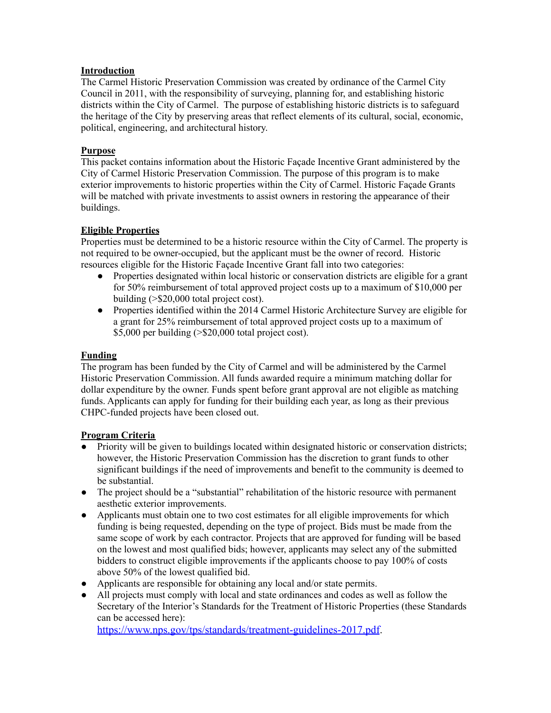### **Introduction**

The Carmel Historic Preservation Commission was created by ordinance of the Carmel City Council in 2011, with the responsibility of surveying, planning for, and establishing historic districts within the City of Carmel. The purpose of establishing historic districts is to safeguard the heritage of the City by preserving areas that reflect elements of its cultural, social, economic, political, engineering, and architectural history.

### **Purpose**

This packet contains information about the Historic Façade Incentive Grant administered by the City of Carmel Historic Preservation Commission. The purpose of this program is to make exterior improvements to historic properties within the City of Carmel. Historic Façade Grants will be matched with private investments to assist owners in restoring the appearance of their buildings.

### **Eligible Properties**

Properties must be determined to be a historic resource within the City of Carmel. The property is not required to be owner-occupied, but the applicant must be the owner of record. Historic resources eligible for the Historic Façade Incentive Grant fall into two categories:

- Properties designated within local historic or conservation districts are eligible for a grant for 50% reimbursement of total approved project costs up to a maximum of \$10,000 per building (>\$20,000 total project cost).
- Properties identified within the 2014 Carmel Historic Architecture Survey are eligible for a grant for 25% reimbursement of total approved project costs up to a maximum of \$5,000 per building (>\$20,000 total project cost).

#### **Funding**

The program has been funded by the City of Carmel and will be administered by the Carmel Historic Preservation Commission. All funds awarded require a minimum matching dollar for dollar expenditure by the owner. Funds spent before grant approval are not eligible as matching funds. Applicants can apply for funding for their building each year, as long as their previous CHPC-funded projects have been closed out.

#### **Program Criteria**

- Priority will be given to buildings located within designated historic or conservation districts; however, the Historic Preservation Commission has the discretion to grant funds to other significant buildings if the need of improvements and benefit to the community is deemed to be substantial.
- The project should be a "substantial" rehabilitation of the historic resource with permanent aesthetic exterior improvements.
- Applicants must obtain one to two cost estimates for all eligible improvements for which funding is being requested, depending on the type of project. Bids must be made from the same scope of work by each contractor. Projects that are approved for funding will be based on the lowest and most qualified bids; however, applicants may select any of the submitted bidders to construct eligible improvements if the applicants choose to pay 100% of costs above 50% of the lowest qualified bid.
- Applicants are responsible for obtaining any local and/or state permits.
- All projects must comply with local and state ordinances and codes as well as follow the Secretary of the Interior's Standards for the Treatment of Historic Properties (these Standards can be accessed here):

<https://www.nps.gov/tps/standards/treatment-guidelines-2017.pdf>.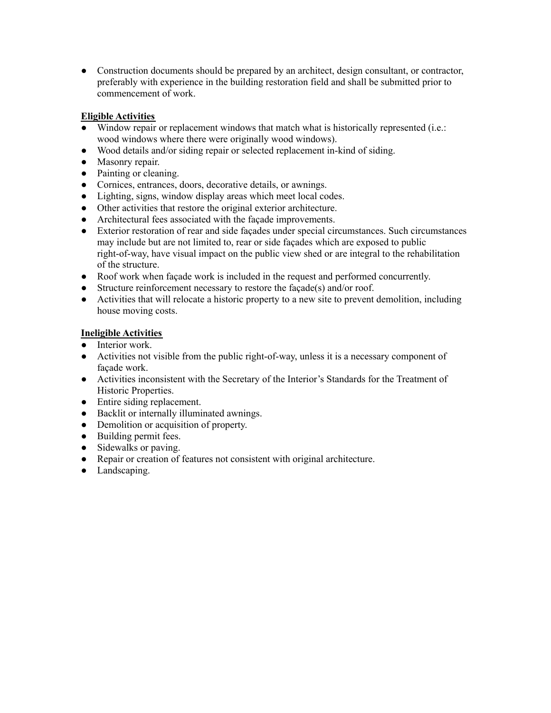• Construction documents should be prepared by an architect, design consultant, or contractor, preferably with experience in the building restoration field and shall be submitted prior to commencement of work.

### **Eligible Activities**

- Window repair or replacement windows that match what is historically represented (i.e.: wood windows where there were originally wood windows).
- Wood details and/or siding repair or selected replacement in-kind of siding.
- Masonry repair.
- Painting or cleaning.
- Cornices, entrances, doors, decorative details, or awnings.
- Lighting, signs, window display areas which meet local codes.
- Other activities that restore the original exterior architecture.
- Architectural fees associated with the façade improvements.
- Exterior restoration of rear and side façades under special circumstances. Such circumstances may include but are not limited to, rear or side façades which are exposed to public right-of-way, have visual impact on the public view shed or are integral to the rehabilitation of the structure.
- Roof work when façade work is included in the request and performed concurrently.
- Structure reinforcement necessary to restore the façade(s) and/or roof.
- Activities that will relocate a historic property to a new site to prevent demolition, including house moving costs.

### **Ineligible Activities**

- Interior work
- Activities not visible from the public right-of-way, unless it is a necessary component of façade work.
- Activities inconsistent with the Secretary of the Interior's Standards for the Treatment of Historic Properties.
- Entire siding replacement.
- Backlit or internally illuminated awnings.
- Demolition or acquisition of property.
- Building permit fees.
- Sidewalks or paving.
- Repair or creation of features not consistent with original architecture.
- Landscaping.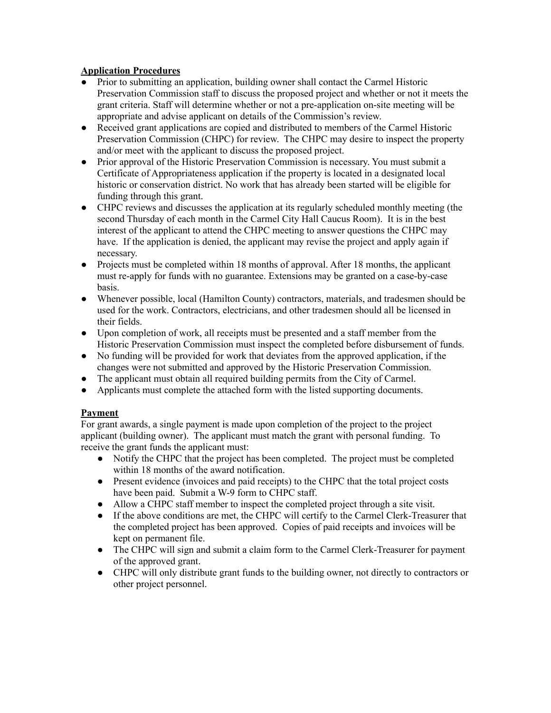## **Application Procedures**

- Prior to submitting an application, building owner shall contact the Carmel Historic Preservation Commission staff to discuss the proposed project and whether or not it meets the grant criteria. Staff will determine whether or not a pre-application on-site meeting will be appropriate and advise applicant on details of the Commission's review.
- Received grant applications are copied and distributed to members of the Carmel Historic Preservation Commission (CHPC) for review. The CHPC may desire to inspect the property and/or meet with the applicant to discuss the proposed project.
- Prior approval of the Historic Preservation Commission is necessary. You must submit a Certificate of Appropriateness application if the property is located in a designated local historic or conservation district. No work that has already been started will be eligible for funding through this grant.
- CHPC reviews and discusses the application at its regularly scheduled monthly meeting (the second Thursday of each month in the Carmel City Hall Caucus Room). It is in the best interest of the applicant to attend the CHPC meeting to answer questions the CHPC may have. If the application is denied, the applicant may revise the project and apply again if necessary.
- Projects must be completed within 18 months of approval. After 18 months, the applicant must re-apply for funds with no guarantee. Extensions may be granted on a case-by-case basis.
- Whenever possible, local (Hamilton County) contractors, materials, and tradesmen should be used for the work. Contractors, electricians, and other tradesmen should all be licensed in their fields.
- Upon completion of work, all receipts must be presented and a staff member from the Historic Preservation Commission must inspect the completed before disbursement of funds.
- No funding will be provided for work that deviates from the approved application, if the changes were not submitted and approved by the Historic Preservation Commission.
- The applicant must obtain all required building permits from the City of Carmel.
- Applicants must complete the attached form with the listed supporting documents.

### **Payment**

For grant awards, a single payment is made upon completion of the project to the project applicant (building owner). The applicant must match the grant with personal funding. To receive the grant funds the applicant must:

- Notify the CHPC that the project has been completed. The project must be completed within 18 months of the award notification.
- Present evidence (invoices and paid receipts) to the CHPC that the total project costs have been paid. Submit a W-9 form to CHPC staff.
- Allow a CHPC staff member to inspect the completed project through a site visit.
- If the above conditions are met, the CHPC will certify to the Carmel Clerk-Treasurer that the completed project has been approved. Copies of paid receipts and invoices will be kept on permanent file.
- The CHPC will sign and submit a claim form to the Carmel Clerk-Treasurer for payment of the approved grant.
- CHPC will only distribute grant funds to the building owner, not directly to contractors or other project personnel.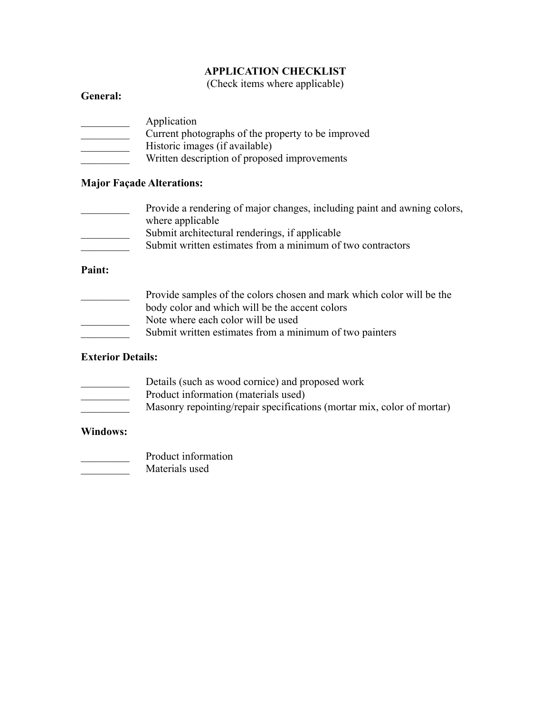# **APPLICATION CHECKLIST**

(Check items where applicable)

# **General:**

| Application                                        |
|----------------------------------------------------|
| Current photographs of the property to be improved |
| Historic images (if available)                     |
| Written description of proposed improvements       |

## **Major Façade Alterations:**

- Provide a rendering of major changes, including paint and awning colors, where applicable
- Submit architectural renderings, if applicable
- **EXECUTE:** Submit written estimates from a minimum of two contractors

# **Paint:**

| Provide samples of the colors chosen and mark which color will be the |
|-----------------------------------------------------------------------|
| body color and which will be the accent colors                        |
| Note where each color will be used                                    |
| Submit written estimates from a minimum of two painters               |

# **Exterior Details:**

- **EXECUTE:** Details (such as wood cornice) and proposed work
- **EXECUTE:** Product information (materials used)
- Masonry repointing/repair specifications (mortar mix, color of mortar)

# **Windows:**

- **Product information**
- \_\_\_\_\_\_\_\_\_ Materials used